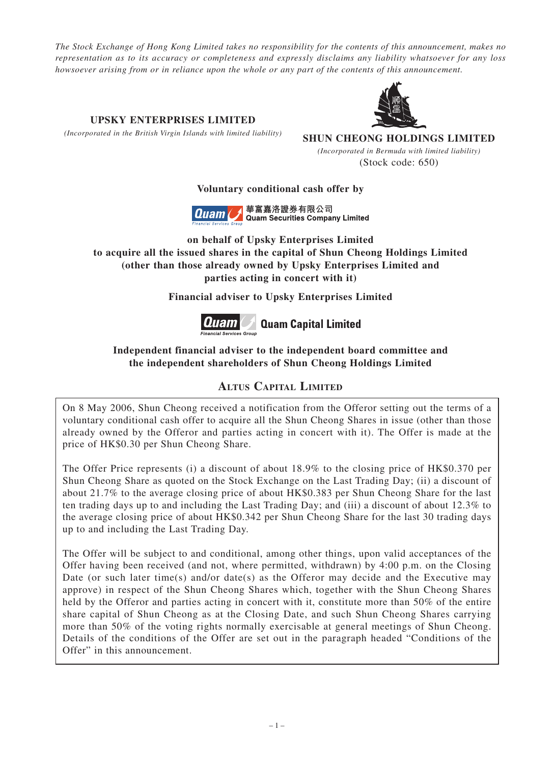*The Stock Exchange of Hong Kong Limited takes no responsibility for the contents of this announcement, makes no representation as to its accuracy or completeness and expressly disclaims any liability whatsoever for any loss howsoever arising from or in reliance upon the whole or any part of the contents of this announcement.*

**UPSKY ENTERPRISES LIMITED SHUN CHEONG HOLDINGS LIMITED** *(Incorporated in the British Virgin Islands with limited liability)*

> *(Incorporated in Bermuda with limited liability)* (Stock code: 650)

## **Voluntary conditional cash offer by**



華富嘉洛證券有限公司 **Quam Securities Company Limited** 

**on behalf of Upsky Enterprises Limited to acquire all the issued shares in the capital of Shun Cheong Holdings Limited (other than those already owned by Upsky Enterprises Limited and parties acting in concert with it)**

**Financial adviser to Upsky Enterprises Limited**



# **Independent financial adviser to the independent board committee and the independent shareholders of Shun Cheong Holdings Limited**

# **ALTUS CAPITAL LIMITED**

On 8 May 2006, Shun Cheong received a notification from the Offeror setting out the terms of a voluntary conditional cash offer to acquire all the Shun Cheong Shares in issue (other than those already owned by the Offeror and parties acting in concert with it). The Offer is made at the price of HK\$0.30 per Shun Cheong Share.

The Offer Price represents (i) a discount of about 18.9% to the closing price of HK\$0.370 per Shun Cheong Share as quoted on the Stock Exchange on the Last Trading Day; (ii) a discount of about 21.7% to the average closing price of about HK\$0.383 per Shun Cheong Share for the last ten trading days up to and including the Last Trading Day; and (iii) a discount of about 12.3% to the average closing price of about HK\$0.342 per Shun Cheong Share for the last 30 trading days up to and including the Last Trading Day.

The Offer will be subject to and conditional, among other things, upon valid acceptances of the Offer having been received (and not, where permitted, withdrawn) by 4:00 p.m. on the Closing Date (or such later time(s) and/or date(s) as the Offeror may decide and the Executive may approve) in respect of the Shun Cheong Shares which, together with the Shun Cheong Shares held by the Offeror and parties acting in concert with it, constitute more than 50% of the entire share capital of Shun Cheong as at the Closing Date, and such Shun Cheong Shares carrying more than 50% of the voting rights normally exercisable at general meetings of Shun Cheong. Details of the conditions of the Offer are set out in the paragraph headed "Conditions of the Offer" in this announcement.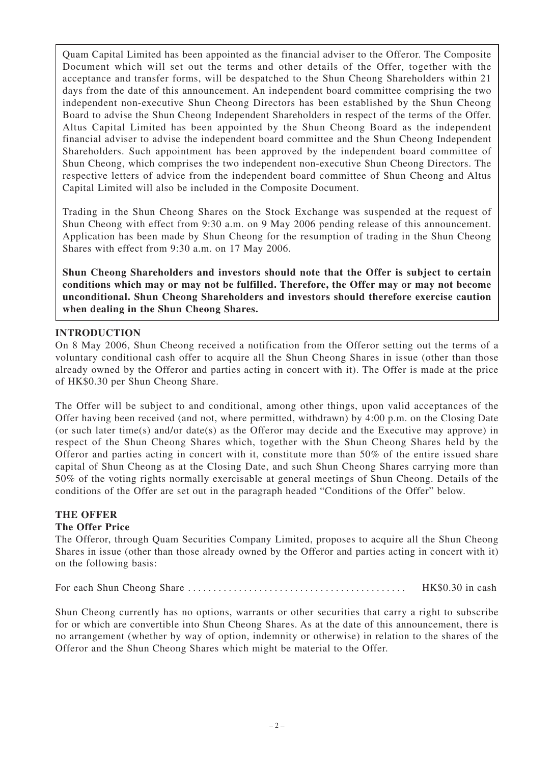Quam Capital Limited has been appointed as the financial adviser to the Offeror. The Composite Document which will set out the terms and other details of the Offer, together with the acceptance and transfer forms, will be despatched to the Shun Cheong Shareholders within 21 days from the date of this announcement. An independent board committee comprising the two independent non-executive Shun Cheong Directors has been established by the Shun Cheong Board to advise the Shun Cheong Independent Shareholders in respect of the terms of the Offer. Altus Capital Limited has been appointed by the Shun Cheong Board as the independent financial adviser to advise the independent board committee and the Shun Cheong Independent Shareholders. Such appointment has been approved by the independent board committee of Shun Cheong, which comprises the two independent non-executive Shun Cheong Directors. The respective letters of advice from the independent board committee of Shun Cheong and Altus Capital Limited will also be included in the Composite Document.

Trading in the Shun Cheong Shares on the Stock Exchange was suspended at the request of Shun Cheong with effect from 9:30 a.m. on 9 May 2006 pending release of this announcement. Application has been made by Shun Cheong for the resumption of trading in the Shun Cheong Shares with effect from 9:30 a.m. on 17 May 2006.

**Shun Cheong Shareholders and investors should note that the Offer is subject to certain conditions which may or may not be fulfilled. Therefore, the Offer may or may not become unconditional. Shun Cheong Shareholders and investors should therefore exercise caution when dealing in the Shun Cheong Shares.**

#### **INTRODUCTION**

On 8 May 2006, Shun Cheong received a notification from the Offeror setting out the terms of a voluntary conditional cash offer to acquire all the Shun Cheong Shares in issue (other than those already owned by the Offeror and parties acting in concert with it). The Offer is made at the price of HK\$0.30 per Shun Cheong Share.

The Offer will be subject to and conditional, among other things, upon valid acceptances of the Offer having been received (and not, where permitted, withdrawn) by 4:00 p.m. on the Closing Date (or such later time(s) and/or date(s) as the Offeror may decide and the Executive may approve) in respect of the Shun Cheong Shares which, together with the Shun Cheong Shares held by the Offeror and parties acting in concert with it, constitute more than 50% of the entire issued share capital of Shun Cheong as at the Closing Date, and such Shun Cheong Shares carrying more than 50% of the voting rights normally exercisable at general meetings of Shun Cheong. Details of the conditions of the Offer are set out in the paragraph headed "Conditions of the Offer" below.

# **THE OFFER**

#### **The Offer Price**

The Offeror, through Quam Securities Company Limited, proposes to acquire all the Shun Cheong Shares in issue (other than those already owned by the Offeror and parties acting in concert with it) on the following basis:

For each Shun Cheong Share . . . . . . . . . . . . . . . . . . . . . . . . . . . . . . . . . . . . . . . . . . . HK\$0.30 in cash

Shun Cheong currently has no options, warrants or other securities that carry a right to subscribe for or which are convertible into Shun Cheong Shares. As at the date of this announcement, there is no arrangement (whether by way of option, indemnity or otherwise) in relation to the shares of the Offeror and the Shun Cheong Shares which might be material to the Offer.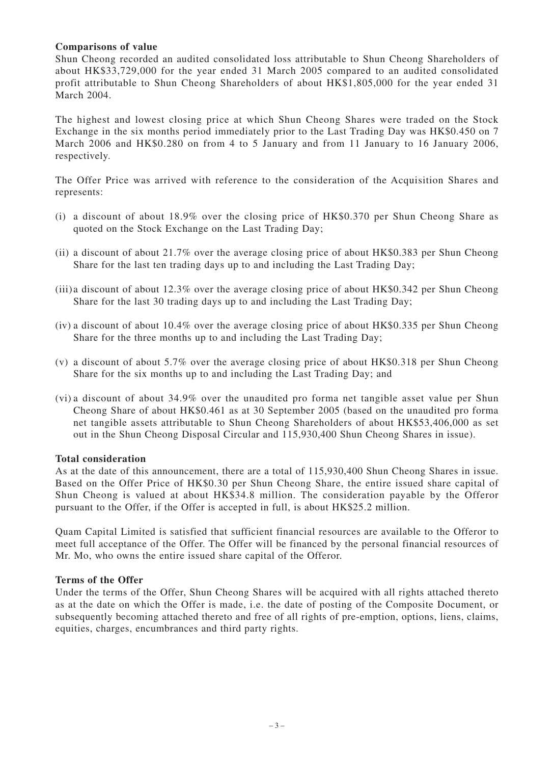#### **Comparisons of value**

Shun Cheong recorded an audited consolidated loss attributable to Shun Cheong Shareholders of about HK\$33,729,000 for the year ended 31 March 2005 compared to an audited consolidated profit attributable to Shun Cheong Shareholders of about HK\$1,805,000 for the year ended 31 March 2004.

The highest and lowest closing price at which Shun Cheong Shares were traded on the Stock Exchange in the six months period immediately prior to the Last Trading Day was HK\$0.450 on 7 March 2006 and HK\$0.280 on from 4 to 5 January and from 11 January to 16 January 2006, respectively.

The Offer Price was arrived with reference to the consideration of the Acquisition Shares and represents:

- (i) a discount of about 18.9% over the closing price of HK\$0.370 per Shun Cheong Share as quoted on the Stock Exchange on the Last Trading Day;
- (ii) a discount of about 21.7% over the average closing price of about HK\$0.383 per Shun Cheong Share for the last ten trading days up to and including the Last Trading Day;
- (iii)a discount of about 12.3% over the average closing price of about HK\$0.342 per Shun Cheong Share for the last 30 trading days up to and including the Last Trading Day;
- (iv) a discount of about 10.4% over the average closing price of about HK\$0.335 per Shun Cheong Share for the three months up to and including the Last Trading Day;
- (v) a discount of about 5.7% over the average closing price of about HK\$0.318 per Shun Cheong Share for the six months up to and including the Last Trading Day; and
- (vi) a discount of about 34.9% over the unaudited pro forma net tangible asset value per Shun Cheong Share of about HK\$0.461 as at 30 September 2005 (based on the unaudited pro forma net tangible assets attributable to Shun Cheong Shareholders of about HK\$53,406,000 as set out in the Shun Cheong Disposal Circular and 115,930,400 Shun Cheong Shares in issue).

#### **Total consideration**

As at the date of this announcement, there are a total of 115,930,400 Shun Cheong Shares in issue. Based on the Offer Price of HK\$0.30 per Shun Cheong Share, the entire issued share capital of Shun Cheong is valued at about HK\$34.8 million. The consideration payable by the Offeror pursuant to the Offer, if the Offer is accepted in full, is about HK\$25.2 million.

Quam Capital Limited is satisfied that sufficient financial resources are available to the Offeror to meet full acceptance of the Offer. The Offer will be financed by the personal financial resources of Mr. Mo, who owns the entire issued share capital of the Offeror.

#### **Terms of the Offer**

Under the terms of the Offer, Shun Cheong Shares will be acquired with all rights attached thereto as at the date on which the Offer is made, i.e. the date of posting of the Composite Document, or subsequently becoming attached thereto and free of all rights of pre-emption, options, liens, claims, equities, charges, encumbrances and third party rights.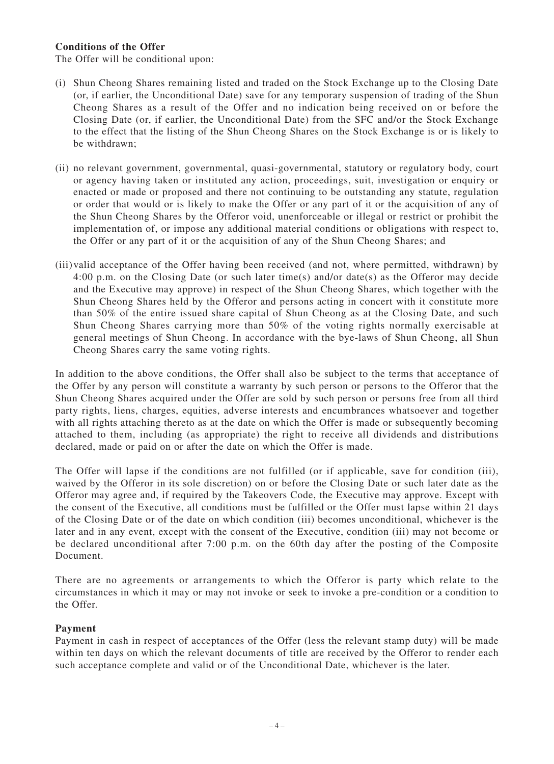#### **Conditions of the Offer**

The Offer will be conditional upon:

- (i) Shun Cheong Shares remaining listed and traded on the Stock Exchange up to the Closing Date (or, if earlier, the Unconditional Date) save for any temporary suspension of trading of the Shun Cheong Shares as a result of the Offer and no indication being received on or before the Closing Date (or, if earlier, the Unconditional Date) from the SFC and/or the Stock Exchange to the effect that the listing of the Shun Cheong Shares on the Stock Exchange is or is likely to be withdrawn;
- (ii) no relevant government, governmental, quasi-governmental, statutory or regulatory body, court or agency having taken or instituted any action, proceedings, suit, investigation or enquiry or enacted or made or proposed and there not continuing to be outstanding any statute, regulation or order that would or is likely to make the Offer or any part of it or the acquisition of any of the Shun Cheong Shares by the Offeror void, unenforceable or illegal or restrict or prohibit the implementation of, or impose any additional material conditions or obligations with respect to, the Offer or any part of it or the acquisition of any of the Shun Cheong Shares; and
- (iii)valid acceptance of the Offer having been received (and not, where permitted, withdrawn) by 4:00 p.m. on the Closing Date (or such later time(s) and/or date(s) as the Offeror may decide and the Executive may approve) in respect of the Shun Cheong Shares, which together with the Shun Cheong Shares held by the Offeror and persons acting in concert with it constitute more than 50% of the entire issued share capital of Shun Cheong as at the Closing Date, and such Shun Cheong Shares carrying more than 50% of the voting rights normally exercisable at general meetings of Shun Cheong. In accordance with the bye-laws of Shun Cheong, all Shun Cheong Shares carry the same voting rights.

In addition to the above conditions, the Offer shall also be subject to the terms that acceptance of the Offer by any person will constitute a warranty by such person or persons to the Offeror that the Shun Cheong Shares acquired under the Offer are sold by such person or persons free from all third party rights, liens, charges, equities, adverse interests and encumbrances whatsoever and together with all rights attaching thereto as at the date on which the Offer is made or subsequently becoming attached to them, including (as appropriate) the right to receive all dividends and distributions declared, made or paid on or after the date on which the Offer is made.

The Offer will lapse if the conditions are not fulfilled (or if applicable, save for condition (iii), waived by the Offeror in its sole discretion) on or before the Closing Date or such later date as the Offeror may agree and, if required by the Takeovers Code, the Executive may approve. Except with the consent of the Executive, all conditions must be fulfilled or the Offer must lapse within 21 days of the Closing Date or of the date on which condition (iii) becomes unconditional, whichever is the later and in any event, except with the consent of the Executive, condition (iii) may not become or be declared unconditional after 7:00 p.m. on the 60th day after the posting of the Composite Document.

There are no agreements or arrangements to which the Offeror is party which relate to the circumstances in which it may or may not invoke or seek to invoke a pre-condition or a condition to the Offer.

#### **Payment**

Payment in cash in respect of acceptances of the Offer (less the relevant stamp duty) will be made within ten days on which the relevant documents of title are received by the Offeror to render each such acceptance complete and valid or of the Unconditional Date, whichever is the later.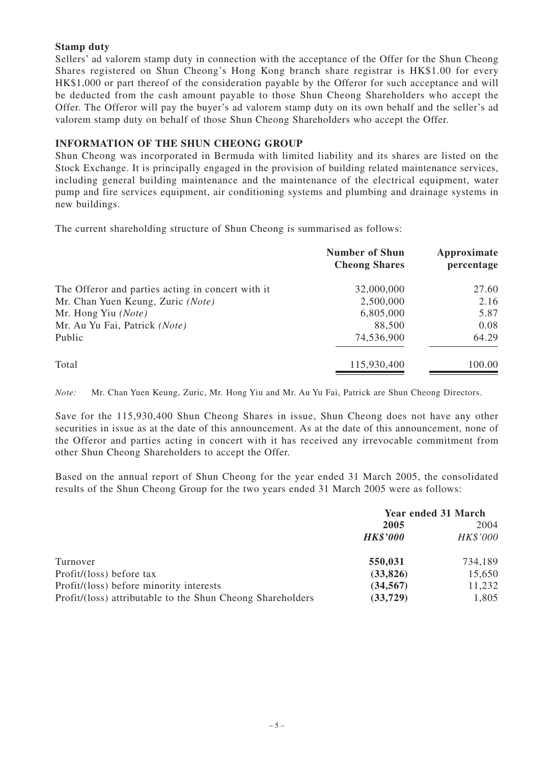#### **Stamp duty**

Sellers' ad valorem stamp duty in connection with the acceptance of the Offer for the Shun Cheong Shares registered on Shun Cheong's Hong Kong branch share registrar is HK\$1.00 for every HK\$1,000 or part thereof of the consideration payable by the Offeror for such acceptance and will be deducted from the cash amount payable to those Shun Cheong Shareholders who accept the Offer. The Offeror will pay the buyer's ad valorem stamp duty on its own behalf and the seller's ad valorem stamp duty on behalf of those Shun Cheong Shareholders who accept the Offer.

### **INFORMATION OF THE SHUN CHEONG GROUP**

Shun Cheong was incorporated in Bermuda with limited liability and its shares are listed on the Stock Exchange. It is principally engaged in the provision of building related maintenance services, including general building maintenance and the maintenance of the electrical equipment, water pump and fire services equipment, air conditioning systems and plumbing and drainage systems in new buildings.

The current shareholding structure of Shun Cheong is summarised as follows:

|                                                   | <b>Number of Shun</b><br><b>Cheong Shares</b> | Approximate<br>percentage |
|---------------------------------------------------|-----------------------------------------------|---------------------------|
| The Offeror and parties acting in concert with it | 32,000,000                                    | 27.60                     |
| Mr. Chan Yuen Keung, Zuric (Note)                 | 2,500,000                                     | 2.16                      |
| Mr. Hong Yiu (Note)                               | 6,805,000                                     | 5.87                      |
| Mr. Au Yu Fai, Patrick (Note)                     | 88,500                                        | 0.08                      |
| Public                                            | 74,536,900                                    | 64.29                     |
| Total                                             | 115,930,400                                   | 100.00                    |

*Note:* Mr. Chan Yuen Keung, Zuric, Mr. Hong Yiu and Mr. Au Yu Fai, Patrick are Shun Cheong Directors.

Save for the 115,930,400 Shun Cheong Shares in issue, Shun Cheong does not have any other securities in issue as at the date of this announcement. As at the date of this announcement, none of the Offeror and parties acting in concert with it has received any irrevocable commitment from other Shun Cheong Shareholders to accept the Offer.

Based on the annual report of Shun Cheong for the year ended 31 March 2005, the consolidated results of the Shun Cheong Group for the two years ended 31 March 2005 were as follows:

|                                                            | <b>Year ended 31 March</b> |          |
|------------------------------------------------------------|----------------------------|----------|
|                                                            | 2005                       | 2004     |
|                                                            | <b>HK\$'000</b>            | HK\$'000 |
| Turnover                                                   | 550,031                    | 734,189  |
| Profit/(loss) before tax                                   | (33,826)                   | 15,650   |
| Profit/(loss) before minority interests                    | (34, 567)                  | 11,232   |
| Profit/(loss) attributable to the Shun Cheong Shareholders | (33, 729)                  | 1,805    |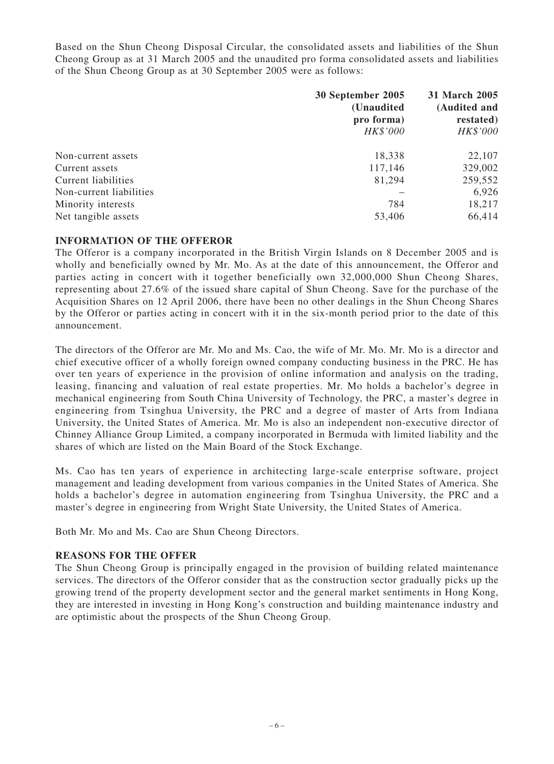Based on the Shun Cheong Disposal Circular, the consolidated assets and liabilities of the Shun Cheong Group as at 31 March 2005 and the unaudited pro forma consolidated assets and liabilities of the Shun Cheong Group as at 30 September 2005 were as follows:

|                         | 30 September 2005<br>(Unaudited<br>pro forma)<br>HK\$'000 | 31 March 2005<br>(Audited and<br>restated)<br>HK\$'000 |
|-------------------------|-----------------------------------------------------------|--------------------------------------------------------|
| Non-current assets      | 18,338                                                    | 22,107                                                 |
| Current assets          | 117,146                                                   | 329,002                                                |
| Current liabilities     | 81,294                                                    | 259,552                                                |
| Non-current liabilities |                                                           | 6,926                                                  |
| Minority interests      | 784                                                       | 18,217                                                 |
| Net tangible assets     | 53,406                                                    | 66,414                                                 |

#### **INFORMATION OF THE OFFEROR**

The Offeror is a company incorporated in the British Virgin Islands on 8 December 2005 and is wholly and beneficially owned by Mr. Mo. As at the date of this announcement, the Offeror and parties acting in concert with it together beneficially own 32,000,000 Shun Cheong Shares, representing about 27.6% of the issued share capital of Shun Cheong. Save for the purchase of the Acquisition Shares on 12 April 2006, there have been no other dealings in the Shun Cheong Shares by the Offeror or parties acting in concert with it in the six-month period prior to the date of this announcement.

The directors of the Offeror are Mr. Mo and Ms. Cao, the wife of Mr. Mo. Mr. Mo is a director and chief executive officer of a wholly foreign owned company conducting business in the PRC. He has over ten years of experience in the provision of online information and analysis on the trading, leasing, financing and valuation of real estate properties. Mr. Mo holds a bachelor's degree in mechanical engineering from South China University of Technology, the PRC, a master's degree in engineering from Tsinghua University, the PRC and a degree of master of Arts from Indiana University, the United States of America. Mr. Mo is also an independent non-executive director of Chinney Alliance Group Limited, a company incorporated in Bermuda with limited liability and the shares of which are listed on the Main Board of the Stock Exchange.

Ms. Cao has ten years of experience in architecting large-scale enterprise software, project management and leading development from various companies in the United States of America. She holds a bachelor's degree in automation engineering from Tsinghua University, the PRC and a master's degree in engineering from Wright State University, the United States of America.

Both Mr. Mo and Ms. Cao are Shun Cheong Directors.

#### **REASONS FOR THE OFFER**

The Shun Cheong Group is principally engaged in the provision of building related maintenance services. The directors of the Offeror consider that as the construction sector gradually picks up the growing trend of the property development sector and the general market sentiments in Hong Kong, they are interested in investing in Hong Kong's construction and building maintenance industry and are optimistic about the prospects of the Shun Cheong Group.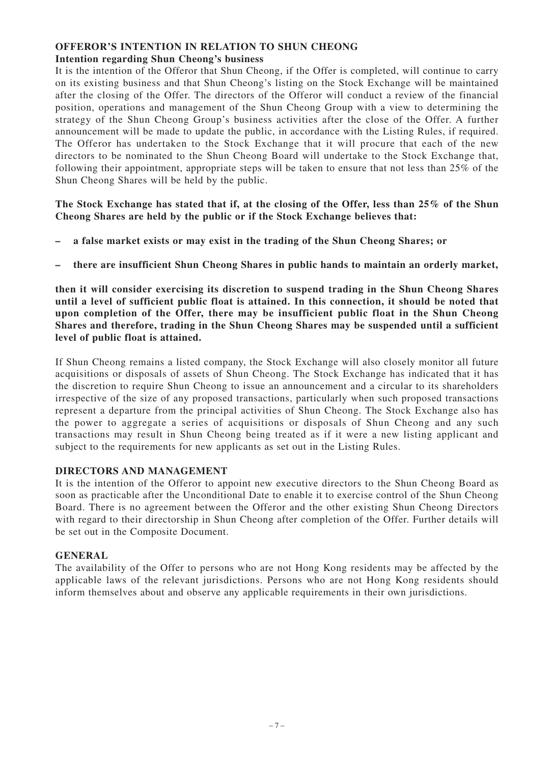# **OFFEROR'S INTENTION IN RELATION TO SHUN CHEONG Intention regarding Shun Cheong's business**

It is the intention of the Offeror that Shun Cheong, if the Offer is completed, will continue to carry on its existing business and that Shun Cheong's listing on the Stock Exchange will be maintained after the closing of the Offer. The directors of the Offeror will conduct a review of the financial position, operations and management of the Shun Cheong Group with a view to determining the strategy of the Shun Cheong Group's business activities after the close of the Offer. A further announcement will be made to update the public, in accordance with the Listing Rules, if required. The Offeror has undertaken to the Stock Exchange that it will procure that each of the new directors to be nominated to the Shun Cheong Board will undertake to the Stock Exchange that, following their appointment, appropriate steps will be taken to ensure that not less than 25% of the Shun Cheong Shares will be held by the public.

**The Stock Exchange has stated that if, at the closing of the Offer, less than 25% of the Shun Cheong Shares are held by the public or if the Stock Exchange believes that:**

- **a false market exists or may exist in the trading of the Shun Cheong Shares; or**
- **there are insufficient Shun Cheong Shares in public hands to maintain an orderly market,**

**then it will consider exercising its discretion to suspend trading in the Shun Cheong Shares until a level of sufficient public float is attained. In this connection, it should be noted that upon completion of the Offer, there may be insufficient public float in the Shun Cheong Shares and therefore, trading in the Shun Cheong Shares may be suspended until a sufficient level of public float is attained.**

If Shun Cheong remains a listed company, the Stock Exchange will also closely monitor all future acquisitions or disposals of assets of Shun Cheong. The Stock Exchange has indicated that it has the discretion to require Shun Cheong to issue an announcement and a circular to its shareholders irrespective of the size of any proposed transactions, particularly when such proposed transactions represent a departure from the principal activities of Shun Cheong. The Stock Exchange also has the power to aggregate a series of acquisitions or disposals of Shun Cheong and any such transactions may result in Shun Cheong being treated as if it were a new listing applicant and subject to the requirements for new applicants as set out in the Listing Rules.

# **DIRECTORS AND MANAGEMENT**

It is the intention of the Offeror to appoint new executive directors to the Shun Cheong Board as soon as practicable after the Unconditional Date to enable it to exercise control of the Shun Cheong Board. There is no agreement between the Offeror and the other existing Shun Cheong Directors with regard to their directorship in Shun Cheong after completion of the Offer. Further details will be set out in the Composite Document.

# **GENERAL**

The availability of the Offer to persons who are not Hong Kong residents may be affected by the applicable laws of the relevant jurisdictions. Persons who are not Hong Kong residents should inform themselves about and observe any applicable requirements in their own jurisdictions.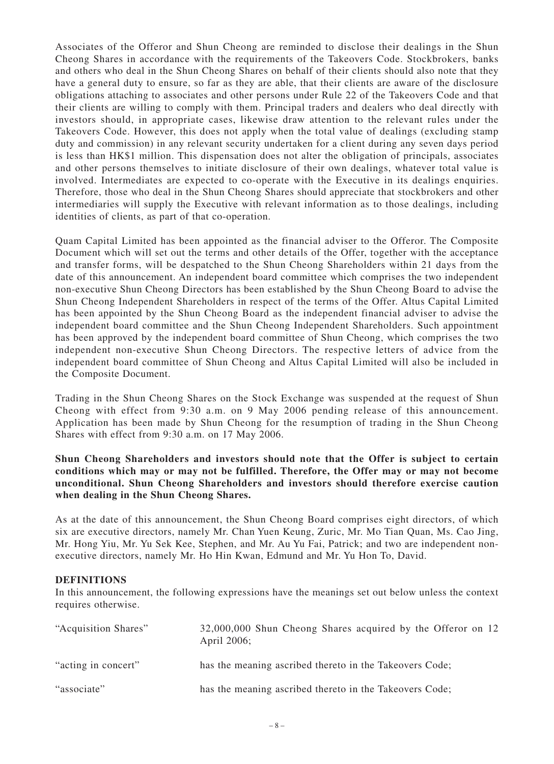Associates of the Offeror and Shun Cheong are reminded to disclose their dealings in the Shun Cheong Shares in accordance with the requirements of the Takeovers Code. Stockbrokers, banks and others who deal in the Shun Cheong Shares on behalf of their clients should also note that they have a general duty to ensure, so far as they are able, that their clients are aware of the disclosure obligations attaching to associates and other persons under Rule 22 of the Takeovers Code and that their clients are willing to comply with them. Principal traders and dealers who deal directly with investors should, in appropriate cases, likewise draw attention to the relevant rules under the Takeovers Code. However, this does not apply when the total value of dealings (excluding stamp duty and commission) in any relevant security undertaken for a client during any seven days period is less than HK\$1 million. This dispensation does not alter the obligation of principals, associates and other persons themselves to initiate disclosure of their own dealings, whatever total value is involved. Intermediates are expected to co-operate with the Executive in its dealings enquiries. Therefore, those who deal in the Shun Cheong Shares should appreciate that stockbrokers and other intermediaries will supply the Executive with relevant information as to those dealings, including identities of clients, as part of that co-operation.

Quam Capital Limited has been appointed as the financial adviser to the Offeror. The Composite Document which will set out the terms and other details of the Offer, together with the acceptance and transfer forms, will be despatched to the Shun Cheong Shareholders within 21 days from the date of this announcement. An independent board committee which comprises the two independent non-executive Shun Cheong Directors has been established by the Shun Cheong Board to advise the Shun Cheong Independent Shareholders in respect of the terms of the Offer. Altus Capital Limited has been appointed by the Shun Cheong Board as the independent financial adviser to advise the independent board committee and the Shun Cheong Independent Shareholders. Such appointment has been approved by the independent board committee of Shun Cheong, which comprises the two independent non-executive Shun Cheong Directors. The respective letters of advice from the independent board committee of Shun Cheong and Altus Capital Limited will also be included in the Composite Document.

Trading in the Shun Cheong Shares on the Stock Exchange was suspended at the request of Shun Cheong with effect from 9:30 a.m. on 9 May 2006 pending release of this announcement. Application has been made by Shun Cheong for the resumption of trading in the Shun Cheong Shares with effect from 9:30 a.m. on 17 May 2006.

**Shun Cheong Shareholders and investors should note that the Offer is subject to certain conditions which may or may not be fulfilled. Therefore, the Offer may or may not become unconditional. Shun Cheong Shareholders and investors should therefore exercise caution when dealing in the Shun Cheong Shares.**

As at the date of this announcement, the Shun Cheong Board comprises eight directors, of which six are executive directors, namely Mr. Chan Yuen Keung, Zuric, Mr. Mo Tian Quan, Ms. Cao Jing, Mr. Hong Yiu, Mr. Yu Sek Kee, Stephen, and Mr. Au Yu Fai, Patrick; and two are independent nonexecutive directors, namely Mr. Ho Hin Kwan, Edmund and Mr. Yu Hon To, David.

#### **DEFINITIONS**

In this announcement, the following expressions have the meanings set out below unless the context requires otherwise.

| "Acquisition Shares" | 32,000,000 Shun Cheong Shares acquired by the Offeror on 12<br>April 2006; |
|----------------------|----------------------------------------------------------------------------|
| "acting in concert"  | has the meaning ascribed thereto in the Takeovers Code;                    |
| "associate"          | has the meaning ascribed thereto in the Takeovers Code;                    |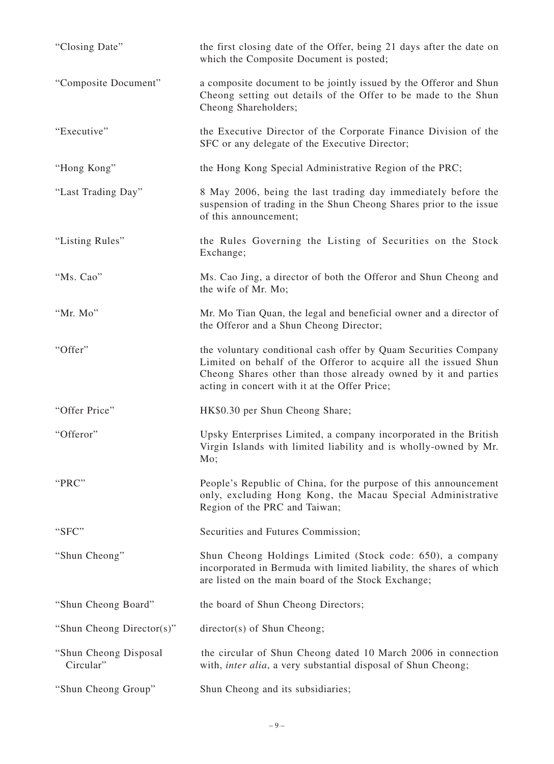| "Closing Date"                      | the first closing date of the Offer, being 21 days after the date on<br>which the Composite Document is posted;                                                                                                                                       |
|-------------------------------------|-------------------------------------------------------------------------------------------------------------------------------------------------------------------------------------------------------------------------------------------------------|
| "Composite Document"                | a composite document to be jointly issued by the Offeror and Shun<br>Cheong setting out details of the Offer to be made to the Shun<br>Cheong Shareholders;                                                                                           |
| "Executive"                         | the Executive Director of the Corporate Finance Division of the<br>SFC or any delegate of the Executive Director;                                                                                                                                     |
| "Hong Kong"                         | the Hong Kong Special Administrative Region of the PRC;                                                                                                                                                                                               |
| "Last Trading Day"                  | 8 May 2006, being the last trading day immediately before the<br>suspension of trading in the Shun Cheong Shares prior to the issue<br>of this announcement;                                                                                          |
| "Listing Rules"                     | the Rules Governing the Listing of Securities on the Stock<br>Exchange;                                                                                                                                                                               |
| "Ms. Cao"                           | Ms. Cao Jing, a director of both the Offeror and Shun Cheong and<br>the wife of Mr. Mo;                                                                                                                                                               |
| "Mr. Mo"                            | Mr. Mo Tian Quan, the legal and beneficial owner and a director of<br>the Offeror and a Shun Cheong Director;                                                                                                                                         |
| "Offer"                             | the voluntary conditional cash offer by Quam Securities Company<br>Limited on behalf of the Offeror to acquire all the issued Shun<br>Cheong Shares other than those already owned by it and parties<br>acting in concert with it at the Offer Price; |
| "Offer Price"                       | HK\$0.30 per Shun Cheong Share;                                                                                                                                                                                                                       |
| "Offeror"                           | Upsky Enterprises Limited, a company incorporated in the British<br>Virgin Islands with limited liability and is wholly-owned by Mr.<br>Mo;                                                                                                           |
| "PRC"                               | People's Republic of China, for the purpose of this announcement<br>only, excluding Hong Kong, the Macau Special Administrative<br>Region of the PRC and Taiwan;                                                                                      |
| "SFC"                               | Securities and Futures Commission;                                                                                                                                                                                                                    |
| "Shun Cheong"                       | Shun Cheong Holdings Limited (Stock code: 650), a company<br>incorporated in Bermuda with limited liability, the shares of which<br>are listed on the main board of the Stock Exchange;                                                               |
| "Shun Cheong Board"                 | the board of Shun Cheong Directors;                                                                                                                                                                                                                   |
| "Shun Cheong Director(s)"           | director(s) of Shun Cheong;                                                                                                                                                                                                                           |
| "Shun Cheong Disposal"<br>Circular" | the circular of Shun Cheong dated 10 March 2006 in connection<br>with, <i>inter alia</i> , a very substantial disposal of Shun Cheong;                                                                                                                |
| "Shun Cheong Group"                 | Shun Cheong and its subsidiaries;                                                                                                                                                                                                                     |